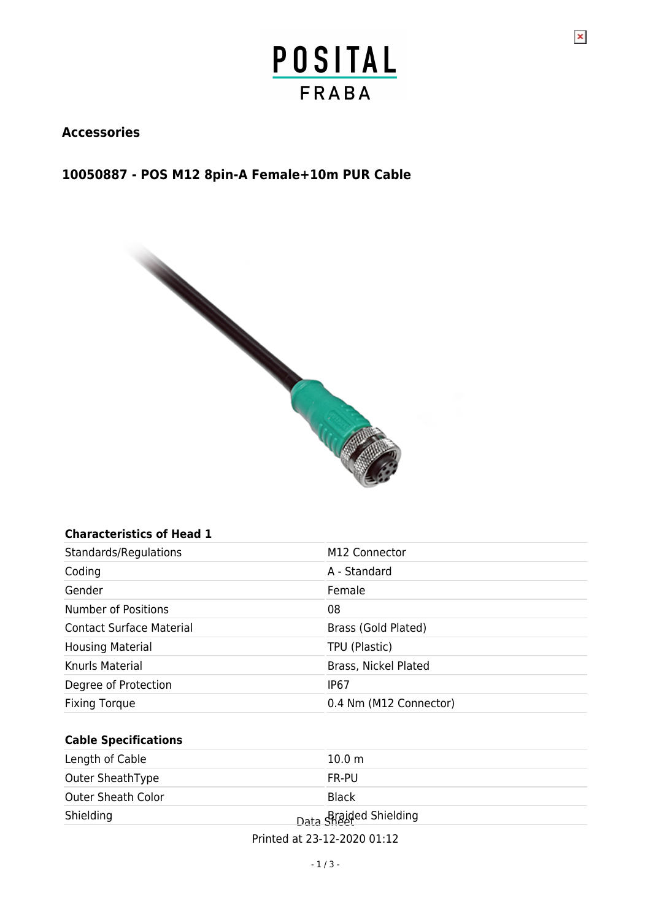$\pmb{\times}$ 

#### **Accessories**

#### **10050887 - POS M12 8pin-A Female+10m PUR Cable**



#### **Characteristics of Head 1**

| Standards/Regulations           | M <sub>12</sub> Connector |
|---------------------------------|---------------------------|
| Coding                          | A - Standard              |
| Gender                          | Female                    |
| <b>Number of Positions</b>      | 08                        |
| <b>Contact Surface Material</b> | Brass (Gold Plated)       |
| <b>Housing Material</b>         | TPU (Plastic)             |
| Knurls Material                 | Brass, Nickel Plated      |
| Degree of Protection            | IP67                      |
| <b>Fixing Torque</b>            | 0.4 Nm (M12 Connector)    |

#### **Cable Specifications**

| Length of Cable           | 10.0 <sub>m</sub>      |
|---------------------------|------------------------|
| Outer SheathType          | FR-PU                  |
| <b>Outer Sheath Color</b> | <b>Black</b>           |
| Shielding                 | Data Shaided Shielding |
|                           |                        |

Printed at 23-12-2020 01:12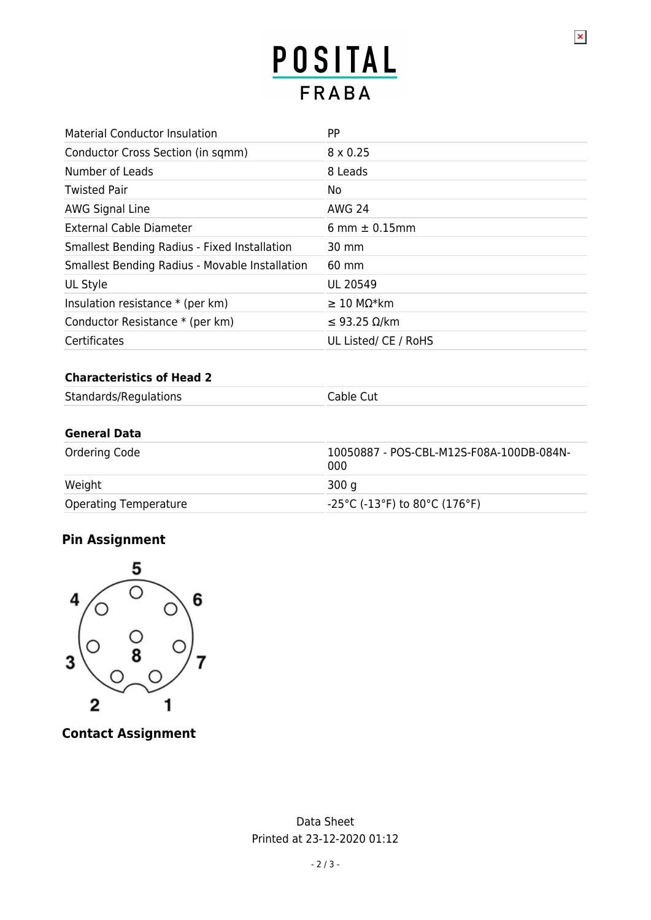# POSITAL **FRABA**

 $\pmb{\times}$ 

| <b>Material Conductor Insulation</b>                | PP                   |
|-----------------------------------------------------|----------------------|
| Conductor Cross Section (in sqmm)                   | $8 \times 0.25$      |
| Number of Leads                                     | 8 Leads              |
| <b>Twisted Pair</b>                                 | No.                  |
| AWG Signal Line                                     | AWG 24               |
| <b>External Cable Diameter</b>                      | 6 mm $\pm$ 0.15 mm   |
| <b>Smallest Bending Radius - Fixed Installation</b> | 30 mm                |
| Smallest Bending Radius - Movable Installation      | $60 \text{ mm}$      |
| UL Style                                            | <b>UL 20549</b>      |
| Insulation resistance $*$ (per km)                  | $\geq$ 10 MΩ*km      |
| Conductor Resistance * (per km)                     | ≤ 93.25 Ω/km         |
| Certificates                                        | UL Listed/ CE / RoHS |

#### **Characteristics of Head 2**

| Standards/Regulations | Cable Cut |
|-----------------------|-----------|
|                       |           |

#### **General Data**

| Ordering Code                | 10050887 - POS-CBL-M12S-F08A-100DB-084N-<br>000 |
|------------------------------|-------------------------------------------------|
| Weight                       | 300 a                                           |
| <b>Operating Temperature</b> | -25°C (-13°F) to 80°C (176°F)                   |

### **Pin Assignment**



**Contact Assignment**